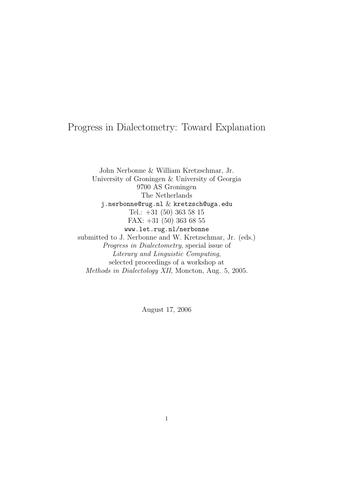# Progress in Dialectometry: Toward Explanation

John Nerbonne & William Kretzschmar, Jr. University of Groningen & University of Georgia 9700 AS Groningen The Netherlands j.nerbonne@rug.nl & kretzsch@uga.edu Tel.:  $+31$  (50) 363 58 15 FAX: +31 (50) 363 68 55 www.let.rug.nl/nerbonne submitted to J. Nerbonne and W. Kretzschmar, Jr. (eds.) Progress in Dialectometry, special issue of Literary and Linguistic Computing, selected proceedings of a workshop at Methods in Dialectology XII, Moncton, Aug. 5, 2005.

August 17, 2006

1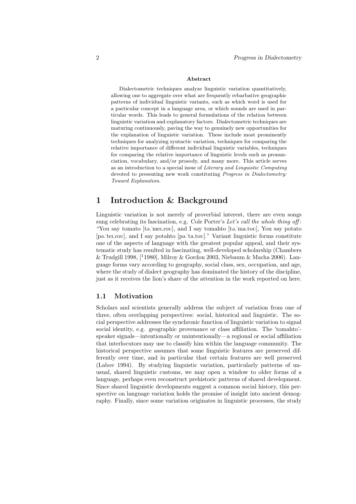#### Abstract

Dialectometric techniques analyze linguistic variation quantitatively, allowing one to aggregate over what are frequently rebarbative geographic patterns of individual linguistic variants, such as which word is used for a particular concept in a language area, or which sounds are used in particular words. This leads to general formulations of the relation between linguistic variation and explanatory factors. Dialectometric techniques are maturing continuously, paving the way to genuinely new opportunities for the explanation of linguistic variation. These include most prominently techniques for analyzing syntactic variation, techniques for comparing the relative importance of different individual linguistic variables, techniques for comparing the relative importance of linguistic levels such as pronunciation, vocabulary, and/or prosody, and many more. This article serves as an introduction to a special issue of Literary and Linguistic Computing devoted to presenting new work constituting Progress in Dialectometry: Toward Explanation.

# 1 Introduction & Background

Linguistic variation is not merely of proverbial interest, there are even songs sung celebrating its fascination, e.g. Cole Porter's Let's call the whole thing off: "You say tomato [tə.'mei.rou], and I say tomahto [tə.'ma.tou], You say potato [pə.'tei.rou], and I say potahto [pə.'ta.tou]." Variant linguistic forms constitute one of the aspects of language with the greatest popular appeal, and their systematic study has resulted in fascinating, well-developed scholarship (Chambers & Trudgill 1998,  $[11980]$ , Milroy & Gordon 2003, Niebaum & Macha 2006). Language forms vary according to geography, social class, sex, occupation, and age, where the study of dialect geography has dominated the history of the discipline, just as it receives the lion's share of the attention in the work reported on here.

### 1.1 Motivation

Scholars and scientists generally address the subject of variation from one of three, often overlapping perspectives: social, historical and linguistic. The social perspective addresses the synchronic function of linguistic variation to signal social identity, e.g. geographic provenance or class affiliation. The 'tomahto' speaker signals—intentionally or unintentionally—a regional or social affiliation that interlocutors may use to classify him within the language community. The historical perspective assumes that some linguistic features are preserved differently over time, and in particular that certain features are well preserved (Labov 1994). By studying linguistic variation, particularly patterns of unusual, shared linguistic customs, we may open a window to older forms of a language, perhaps even reconstruct prehistoric patterns of shared development. Since shared linguistic developments suggest a common social history, this perspective on language variation holds the promise of insight into ancient demography. Finally, since some variation originates in linguistic processes, the study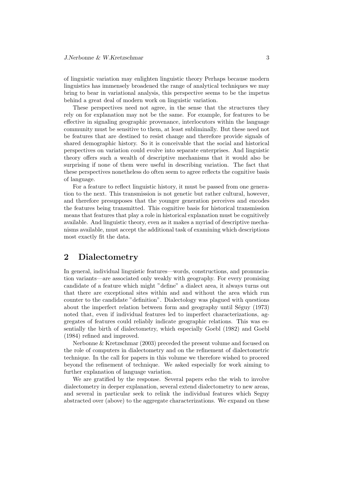of linguistic variation may enlighten linguistic theory Perhaps because modern linguistics has immensely broadened the range of analytical techniques we may bring to bear in variational analysis, this perspective seems to be the impetus behind a great deal of modern work on linguistic variation.

These perspectives need not agree, in the sense that the structures they rely on for explanation may not be the same. For example, for features to be effective in signaling geographic provenance, interlocutors within the language community must be sensitive to them, at least subliminally. But these need not be features that are destined to resist change and therefore provide signals of shared demographic history. So it is conceivable that the social and historical perspectives on variation could evolve into separate enterprises. And linguistic theory offers such a wealth of descriptive mechanisms that it would also be surprising if none of them were useful in describing variation. The fact that these perspectives nonetheless do often seem to agree reflects the cognitive basis of language.

For a feature to reflect linguistic history, it must be passed from one generation to the next. This transmission is not genetic but rather cultural, however, and therefore presupposes that the younger generation perceives and encodes the features being transmitted. This cognitive basis for historical transmission means that features that play a role in historical explanation must be cognitively available. And linguistic theory, even as it makes a myriad of descriptive mechanisms available, must accept the additional task of examining which descriptions most exactly fit the data.

# 2 Dialectometry

In general, individual linguistic features—words, constructions, and pronunciation variants—are associated only weakly with geography. For every promising candidate of a feature which might "define" a dialect area, it always turns out that there are exceptional sites within and and without the area which run counter to the candidate "definition". Dialectology was plagued with questions about the imperfect relation between form and geography until Séguy (1973) noted that, even if individual features led to imperfect characterizations, aggregates of features could reliably indicate geographic relations. This was essentially the birth of dialectometry, which especially Goebl (1982) and Goebl (1984) refined and improved.

Nerbonne & Kretzschmar (2003) preceded the present volume and focused on the role of computers in dialectometry and on the refinement of dialectometric technique. In the call for papers in this volume we therefore wished to proceed beyond the refinement of technique. We asked especially for work aiming to further explanation of language variation.

We are gratified by the response. Several papers echo the wish to involve dialectometry in deeper explanation, several extend dialectometry to new areas, and several in particular seek to relink the individual features which Seguy abstracted over (above) to the aggregate characterizations. We expand on these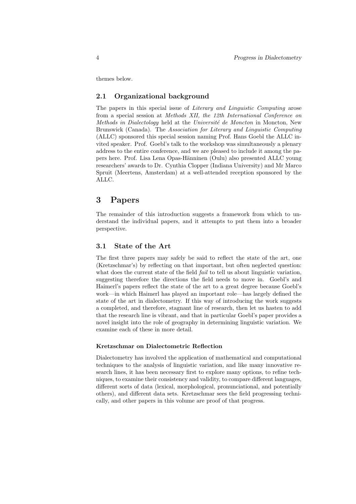themes below.

### 2.1 Organizational background

The papers in this special issue of *Literary and Linguistic Computing* arose from a special session at Methods XII, the 12th International Conference on Methods in Dialectology held at the Université de Moncton in Moncton, New Brunswick (Canada). The Association for Literary and Linguistic Computing (ALLC) sponsored this special session naming Prof. Hans Goebl the ALLC invited speaker. Prof. Goebl's talk to the workshop was simultaneously a plenary address to the entire conference, and we are pleased to include it among the papers here. Prof. Lisa Lena Opas-Hänninen (Oulu) also presented ALLC young researchers' awards to Dr. Cynthia Clopper (Indiana University) and Mr Marco Spruit (Meertens, Amsterdam) at a well-attended reception sponsored by the ALLC.

# 3 Papers

The remainder of this introduction suggests a framework from which to understand the individual papers, and it attempts to put them into a broader perspective.

### 3.1 State of the Art

The first three papers may safely be said to reflect the state of the art, one (Kretzschmar's) by reflecting on that important, but often neglected question: what does the current state of the field *fail* to tell us about linguistic variation, suggesting therefore the directions the field needs to move in. Goebl's and Haimerl's papers reflect the state of the art to a great degree because Goebl's work—in which Haimerl has played an important role—has largely defined the state of the art in dialectometry. If this way of introducing the work suggests a completed, and therefore, stagnant line of research, then let us hasten to add that the research line is vibrant, and that in particular Goebl's paper provides a novel insight into the role of geography in determining linguistic variation. We examine each of these in more detail.

### Kretzschmar on Dialectometric Reflection

Dialectometry has involved the application of mathematical and computational techniques to the analysis of linguistic variation, and like many innovative research lines, it has been necessary first to explore many options, to refine techniques, to examine their consistency and validity, to compare different languages, different sorts of data (lexical, morphological, pronunciational, and potentially others), and different data sets. Kretzschmar sees the field progressing technically, and other papers in this volume are proof of that progress.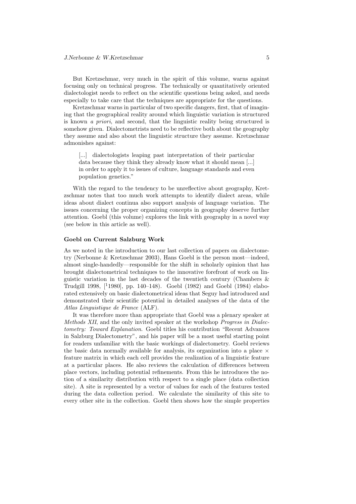But Kretzschmar, very much in the spirit of this volume, warns against focusing only on technical progress. The technically or quantitatively oriented dialectologist needs to reflect on the scientific questions being asked, and needs especially to take care that the techniques are appropriate for the questions.

Kretzschmar warns in particular of two specific dangers, first, that of imagining that the geographical reality around which linguistic variation is structured is known a priori, and second, that the linguistic reality being structured is somehow given. Dialectometrists need to be reflective both about the geography they assume and also about the linguistic structure they assume. Kretzschmar admonishes against:

[...] dialectologists leaping past interpretation of their particular data because they think they already know what it should mean [...] in order to apply it to issues of culture, language standards and even population genetics."

With the regard to the tendency to be unreflective about geography, Kretzschmar notes that too much work attempts to identify dialect areas, while ideas about dialect continua also support analysis of language variation. The issues concerning the proper organizing concepts in geography deserve further attention. Goebl (this volume) explores the link with geography in a novel way (see below in this article as well).

#### Goebl on Current Salzburg Work

As we noted in the introduction to our last collection of papers on dialectometry (Nerbonne & Kretzschmar 2003), Hans Goebl is the person most—indeed, almost single-handedly—responsible for the shift in scholarly opinion that has brought dialectometrical techniques to the innovative forefront of work on linguistic variation in the last decades of the twentieth century (Chambers & Trudgill 1998, [<sup>1</sup>1980], pp. 140–148). Goebl (1982) and Goebl (1984) elaborated extensively on basic dialectometrical ideas that Seguy had introduced and demonstrated their scientific potential in detailed analyses of the data of the Atlas Linguistique de France (ALF).

It was therefore more than appropriate that Goebl was a plenary speaker at Methods XII, and the only invited speaker at the workshop Progress in Dialectometry: Toward Explanation. Goebl titles his contribution "Recent Advances in Salzburg Dialectometry", and his paper will be a most useful starting point for readers unfamiliar with the basic workings of dialectometry. Goebl reviews the basic data normally available for analysis, its organization into a place  $\times$ feature matrix in which each cell provides the realization of a linguistic feature at a particular places. He also reviews the calculation of differences between place vectors, including potential refinements. From this he introduces the notion of a similarity distribution with respect to a single place (data collection site). A site is represented by a vector of values for each of the features tested during the data collection period. We calculate the similarity of this site to every other site in the collection. Goebl then shows how the simple properties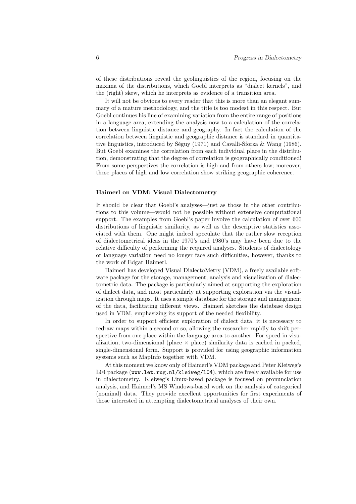of these distributions reveal the geolinguistics of the region, focusing on the maxima of the distributions, which Goebl interprets as "dialect kernels", and the (right) skew, which he interprets as evidence of a transition area.

It will not be obvious to every reader that this is more than an elegant summary of a mature methodology, and the title is too modest in this respect. But Goebl continues his line of examining variation from the entire range of positions in a language area, extending the analysis now to a calculation of the correlation between linguistic distance and geography. In fact the calculation of the correlation between linguistic and geographic distance is standard in quantitative linguistics, introduced by Séguy (1971) and Cavalli-Sforza  $\&$  Wang (1986). But Goebl examines the correlation from each individual place in the distribution, demonstrating that the degree of correlation is geographically conditioned! From some perspectives the correlation is high and from others low; moreover, these places of high and low correlation show striking geographic coherence.

#### Haimerl on VDM: Visual Dialectometry

It should be clear that Goebl's analyses—just as those in the other contributions to this volume—would not be possible without extensive computational support. The examples from Goebl's paper involve the calculation of over 600 distributions of linguistic similarity, as well as the descriptive statistics associated with them. One might indeed speculate that the rather slow reception of dialectometrical ideas in the 1970's and 1980's may have been due to the relative difficulty of performing the required analyses. Students of dialectology or language variation need no longer face such difficulties, however, thanks to the work of Edgar Haimerl.

Haimerl has developed Visual DialectoMetry (VDM), a freely available software package for the storage, management, analysis and visualization of dialectometric data. The package is particularly aimed at supporting the exploration of dialect data, and most particularly at supporting exploration via the visualization through maps. It uses a simple database for the storage and management of the data, facilitating different views. Haimerl sketches the database design used in VDM, emphasizing its support of the needed flexibility.

In order to support efficient exploration of dialect data, it is necessary to redraw maps within a second or so, allowing the researcher rapidly to shift perspective from one place within the language area to another. For speed in visualization, two-dimensional (place  $\times$  place) similarity data is cached in packed. single-dimensional form. Support is provided for using geographic information systems such as MapInfo together with VDM.

At this moment we know only of Haimerl's VDM package and Peter Kleiweg's L04 package (www.let.rug.nl/kleiweg/L04), which are freely available for use in dialectometry. Kleiweg's Linux-based package is focused on pronunciation analysis, and Haimerl's MS Windows-based work on the analysis of categorical (nominal) data. They provide excellent opportunities for first experiments of those interested in attempting dialectometrical analyses of their own.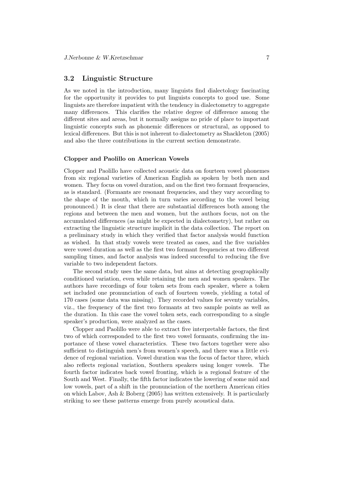### 3.2 Linguistic Structure

As we noted in the introduction, many linguists find dialectology fascinating for the opportunity it provides to put linguists concepts to good use. Some linguists are therefore impatient with the tendency in dialectometry to aggregate many differences. This clarifies the relative degree of difference among the different sites and areas, but it normally assigns no pride of place to important linguistic concepts such as phonemic differences or structural, as opposed to lexical differences. But this is not inherent to dialectometry as Shackleton (2005) and also the three contributions in the current section demonstrate.

#### Clopper and Paolillo on American Vowels

Clopper and Paolillo have collected acoustic data on fourteen vowel phonemes from six regional varieties of American English as spoken by both men and women. They focus on vowel duration, and on the first two formant frequencies, as is standard. (Formants are resonant frequencies, and they vary according to the shape of the mouth, which in turn varies according to the vowel being pronounced.) It is clear that there are substantial differences both among the regions and between the men and women, but the authors focus, not on the accumulated differences (as might be expected in dialectometry), but rather on extracting the linguistic structure implicit in the data collection. The report on a preliminary study in which they verified that factor analysis would function as wished. In that study vowels were treated as cases, and the five variables were vowel duration as well as the first two formant frequencies at two different sampling times, and factor analysis was indeed successful to reducing the five variable to two independent factors.

The second study uses the same data, but aims at detecting geographically conditioned variation, even while retaining the men and women speakers. The authors have recordings of four token sets from each speaker, where a token set included one pronunciation of each of fourteen vowels, yielding a total of 170 cases (some data was missing). They recorded values for seventy variables, viz., the frequency of the first two formants at two sample points as well as the duration. In this case the vowel token sets, each corresponding to a single speaker's production, were analyzed as the cases.

Clopper and Paolillo were able to extract five interpretable factors, the first two of which corresponded to the first two vowel formants, confirming the importance of these vowel characteristics. These two factors together were also sufficient to distinguish men's from women's speech, and there was a little evidence of regional variation. Vowel duration was the focus of factor three, which also reflects regional variation, Southern speakers using longer vowels. The fourth factor indicates back vowel fronting, which is a regional feature of the South and West. Finally, the fifth factor indicates the lowering of some mid and low vowels, part of a shift in the pronunciation of the northern American cities on which Labov, Ash & Boberg (2005) has written extensively. It is particularly striking to see these patterns emerge from purely acoustical data.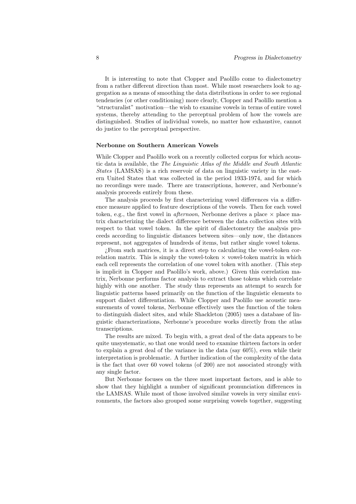It is interesting to note that Clopper and Paolillo come to dialectometry from a rather different direction than most. While most researchers look to aggregation as a means of smoothing the data distributions in order to see regional tendencies (or other conditioning) more clearly, Clopper and Paolillo mention a "structuralist" motivation—the wish to examine vowels in terms of entire vowel systems, thereby attending to the perceptual problem of how the vowels are distinguished. Studies of individual vowels, no matter how exhaustive, cannot do justice to the perceptual perspective.

#### Nerbonne on Southern American Vowels

While Clopper and Paolillo work on a recently collected corpus for which acoustic data is available, the The Linguistic Atlas of the Middle and South Atlantic States (LAMSAS) is a rich reservoir of data on linguistic variety in the eastern United States that was collected in the period 1933-1974, and for which no recordings were made. There are transcriptions, however, and Nerbonne's analysis proceeds entirely from these.

The analysis proceeds by first characterizing vowel differences via a difference measure applied to feature descriptions of the vowels. Then for each vowel token, e.g., the first vowel in *afternoon*, Nerbonne derives a place  $\times$  place matrix characterizing the dialect difference between the data collection sites with respect to that vowel token. In the spirit of dialectometry the analysis proceeds according to linguistic distances between sites—only now, the distances represent, not aggregates of hundreds of items, but rather single vowel tokens.

¿From such matrices, it is a direct step to calculating the vowel-token correlation matrix. This is simply the vowel-token  $\times$  vowel-token matrix in which each cell represents the correlation of one vowel token with another. (This step is implicit in Clopper and Paolillo's work, above.) Given this correlation matrix, Nerbonne performs factor analysis to extract those tokens which correlate highly with one another. The study thus represents an attempt to search for linguistic patterns based primarily on the function of the linguistic elements to support dialect differentiation. While Clopper and Paolillo use acoustic measurements of vowel tokens, Nerbonne effectively uses the function of the token to distinguish dialect sites, and while Shackleton (2005) uses a database of linguistic characterizations, Nerbonne's procedure works directly from the atlas transcriptions.

The results are mixed. To begin with, a great deal of the data appears to be quite unsystematic, so that one would need to examine thirteen factors in order to explain a great deal of the variance in the data (say 60%), even while their interpretation is problematic. A further indication of the complexity of the data is the fact that over 60 vowel tokens (of 200) are not associated strongly with any single factor.

But Nerbonne focuses on the three most important factors, and is able to show that they highlight a number of significant pronunciation differences in the LAMSAS. While most of those involved similar vowels in very similar environments, the factors also grouped some surprising vowels together, suggesting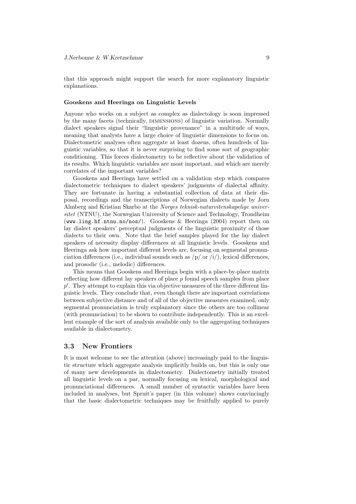that this approach might support the search for more explanatory linguistic explanations.

#### Gooskens and Heeringa on Linguistic Levels

Anyone who works on a subject as complex as dialectology is soon impressed by the many facets (technically, DIMENSIONS) of linguistic variation. Normally dialect speakers signal their "linguistic provenance" in a multitude of ways, meaning that analysts have a large choice of linguistic dimensions to focus on. Dialectometric analyses often aggregate at least dozens, often hundreds of linguistic variables, so that it is never surprising to find some sort of geographic conditioning. This forces dialectometry to be reflective about the validation of its results. Which linguistic variables are most important, and which are merely correlates of the important variables?

Gooskens and Heeringa have settled on a validation step which compares dialectometric techniques to dialect speakers' judgments of dialectal affinity. They are fortunate in having a substantial collection of data at their disposal, recordings and the transcriptions of Norwegian dialects made by Jorn Almberg and Kristian Skarbo at the Norges teknisk-naturvitenskapelige universitet (NTNU), the Norwegian University of Science and Technology, Trondheim (www.ling.hf.ntnu.no/nos/). Gooskens & Heeringa  $(2004)$  report then on lay dialect speakers' perceptual judgments of the linguistic proximity of those dialects to their own. Note that the brief samples played for the lay dialect speakers of necessity display differences at all linguistic levels. Gooskens and Heeringa ask how important different levels are, focusing on segmental pronunciation differences (i.e., individual sounds such as  $/p/$  or  $/i/$ ), lexical differences, and prosodic (i.e., melodic) differences.

This means that Gooskens and Heeringa begin with a place-by-place matrix reflecting how different lay speakers of place  $p$  found speech samples from place  $p'$ . They attempt to explain this via objective measures of the three different linguistic levels. They conclude that, even though there are important correlations between subjective distance and of all of the objective measures examined, only segmental pronunciation is truly explanatory since the others are too collinear (with pronunciation) to be shown to contribute independently. This is an excellent example of the sort of analysis available only to the aggregating techniques available in dialectometry.

### 3.3 New Frontiers

It is most welcome to see the attention (above) increasingly paid to the linguistic structure which aggregate analysis implicitly builds on, but this is only one of many new developments in dialectometry. Dialectometry initially treated all linguistic levels on a par, normally focusing on lexical, morphological and pronunciational differences. A small number of syntactic variables have been included in analyses, but Spruit's paper (in this volume) shows convincingly that the basic dialectometric techniques may be fruitfully applied to purely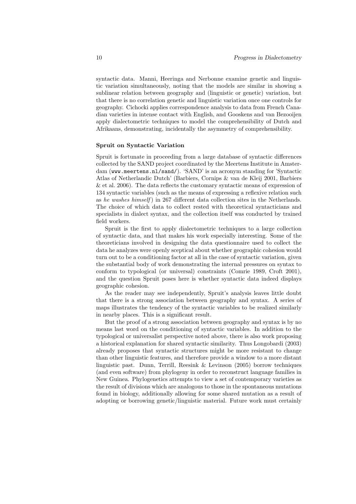syntactic data. Manni, Heeringa and Nerbonne examine genetic and linguistic variation simultaneously, noting that the models are similar in showing a sublinear relation between geography and (linguistic or genetic) variation, but that there is no correlation genetic and linguistic variation once one controls for geography. Cichocki applies correspondence analysis to data from French Canadian varieties in intense contact with English, and Gooskens and van Bezooijen apply dialectometric techniques to model the comprehensibility of Dutch and Afrikaans, demonstrating, incidentally the asymmetry of comprehensibility.

#### Spruit on Syntactic Variation

Spruit is fortunate in proceeding from a large database of syntactic differences collected by the SAND project coordinated by the Meertens Institute in Amsterdam (www.meertens.nl/sand/). 'SAND' is an acronym standing for 'Syntactic Atlas of Netherlandic Dutch' (Barbiers, Cornips & van de Kleij 2001, Barbiers & et al. 2006). The data reflects the customary syntactic means of expression of 134 syntactic variables (such as the means of expressing a reflexive relation such as he washes himself ) in 267 different data collection sites in the Netherlands. The choice of which data to collect rested with theoretical syntacticians and specialists in dialect syntax, and the collection itself was conducted by trained field workers.

Spruit is the first to apply dialectometric techniques to a large collection of syntactic data, and that makes his work especially interesting. Some of the theoreticians involved in designing the data questionnaire used to collect the data he analyzes were openly sceptical about whether geographic cohesion would turn out to be a conditioning factor at all in the case of syntactic variation, given the substantial body of work demonstrating the internal pressures on syntax to conform to typological (or universal) constraints (Comrie 1989, Croft 2001), and the question Spruit poses here is whether syntactic data indeed displays geographic cohesion.

As the reader may see independently, Spruit's analysis leaves little doubt that there is a strong association between geography and syntax. A series of maps illustrates the tendency of the syntactic variables to be realized similarly in nearby places. This is a significant result.

But the proof of a strong association between geography and syntax is by no means last word on the conditioning of syntactic variables. In addition to the typological or universalist perspective noted above, there is also work proposing a historical explanation for shared syntactic similarity. Thus Longobardi (2003) already proposes that syntactic structures might be more resistant to change than other linguistic features, and therefore provide a window to a more distant linguistic past. Dunn, Terrill, Reesink & Levinson (2005) borrow techniques (and even software) from phylogeny in order to reconstruct language families in New Guinea. Phylogenetics attempts to view a set of contemporary varieties as the result of divisions which are analogous to those in the spontaneous mutations found in biology, additionally allowing for some shared mutation as a result of adopting or borrowing genetic/linguistic material. Future work must certainly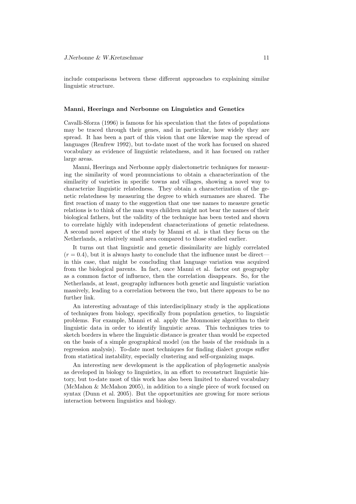include comparisons between these different approaches to explaining similar linguistic structure.

#### Manni, Heeringa and Nerbonne on Linguistics and Genetics

Cavalli-Sforza (1996) is famous for his speculation that the fates of populations may be traced through their genes, and in particular, how widely they are spread. It has been a part of this vision that one likewise map the spread of languages (Renfrew 1992), but to-date most of the work has focused on shared vocabulary as evidence of linguistic relatedness, and it has focused on rather large areas.

Manni, Heeringa and Nerbonne apply dialectometric techniques for measuring the similarity of word pronunciations to obtain a characterization of the similarity of varieties in specific towns and villages, showing a novel way to characterize linguistic relatedness. They obtain a characterization of the genetic relatedness by measuring the degree to which surnames are shared. The first reaction of many to the suggestion that one use names to measure genetic relations is to think of the man ways children might not bear the names of their biological fathers, but the validity of the technique has been tested and shown to correlate highly with independent characterizations of genetic relatedness. A second novel aspect of the study by Manni et al. is that they focus on the Netherlands, a relatively small area compared to those studied earlier.

It turns out that linguistic and genetic dissimilarity are highly correlated  $(r = 0.4)$ , but it is always hasty to conclude that the influence must be directin this case, that might be concluding that language variation was acquired from the biological parents. In fact, once Manni et al. factor out geography as a common factor of influence, then the correlation disappears. So, for the Netherlands, at least, geography influences both genetic and linguistic variation massively, leading to a correlation between the two, but there appears to be no further link.

An interesting advantage of this interdisciplinary study is the applications of techniques from biology, specifically from population genetics, to linguistic problems. For example, Manni et al. apply the Monmonier algorithm to their linguistic data in order to identify linguistic areas. This techniques tries to sketch borders in where the linguistic distance is greater than would be expected on the basis of a simple geographical model (on the basis of the residuals in a regression analysis). To-date most techniques for finding dialect groups suffer from statistical instability, especially clustering and self-organizing maps.

An interesting new development is the application of phylogenetic analysis as developed in biology to linguistics, in an effort to reconstruct linguistic history, but to-date most of this work has also been limited to shared vocabulary (McMahon & McMahon 2005), in addition to a single piece of work focused on syntax (Dunn et al. 2005). But the opportunities are growing for more serious interaction between linguistics and biology.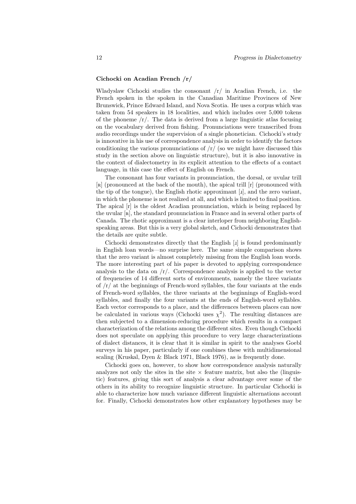#### Cichocki on Acadian French /r/

Wladyslaw Cichocki studies the consonant  $\langle r \rangle$  in Acadian French, i.e. the French spoken in the spoken in the Canadian Maritime Provinces of New Brunswick, Prince Edward Island, and Nova Scotia. He uses a corpus which was taken from 54 speakers in 18 localities, and which includes over 5,000 tokens of the phoneme  $/r/$ . The data is derived from a large linguistic atlas focusing on the vocabulary derived from fishing. Pronunciations were transcribed from audio recordings under the supervision of a single phonetician. Cichocki's study is innovative in his use of correspondence analysis in order to identify the factors conditioning the various pronunciations of  $\frac{r}{r}$  (so we might have discussed this study in the section above on linguistic structure), but it is also innovative in the context of dialectometry in its explicit attention to the effects of a contact language, in this case the effect of English on French.

The consonant has four variants in pronunciation, the dorsal, or uvular trill [ö] (pronounced at the back of the mouth), the apical trill [r] (pronounced with the tip of the tongue), the English rhotic approximant  $[x]$ , and the zero variant, in which the phoneme is not realized at all, and which is limited to final position. The apical [r] is the oldest Acadian pronunciation, which is being replaced by the uvular  $[\mathbf{r}]$ , the standard pronunciation in France and in several other parts of Canada. The rhotic approximant is a clear interloper from neighboring Englishspeaking areas. But this is a very global sketch, and Cichocki demonstrates that the details are quite subtle.

Cichocki demonstrates directly that the English [x] is found predominantly in English loan words—no surprise here. The same simple comparison shows that the zero variant is almost completely missing from the English loan words. The more interesting part of his paper is devoted to applying correspondence analysis to the data on  $\Gamma/r$ . Correspondence analysis is applied to the vector of frequencies of 14 different sorts of environments, namely the three variants of /r/ at the beginnings of French-word syllables, the four variants at the ends of French-word syllables, the three variants at the beginnings of English-word syllables, and finally the four variants at the ends of English-word syllables. Each vector corresponds to a place, and the differences between places can now be calculated in various ways (Cichocki uses  $\chi^2$ ). The resulting distances are then subjected to a dimension-reducing procedure which results in a compact characterization of the relations among the different sites. Even though Cichocki does not speculate on applying this procedure to very large characterizations of dialect distances, it is clear that it is similar in spirit to the analyses Goebl surveys in his paper, particularly if one combines these with multidimensional scaling (Kruskal, Dyen & Black 1971, Black 1976), as is frequently done.

Cichocki goes on, however, to show how correspondence analysis naturally analyzes not only the sites in the site  $\times$  feature matrix, but also the (linguistic) features, giving this sort of analysis a clear advantage over some of the others in its ability to recognize linguistic structure. In particular Cichocki is able to characterize how much variance different linguistic alternations account for. Finally, Cichocki demonstrates how other explanatory hypotheses may be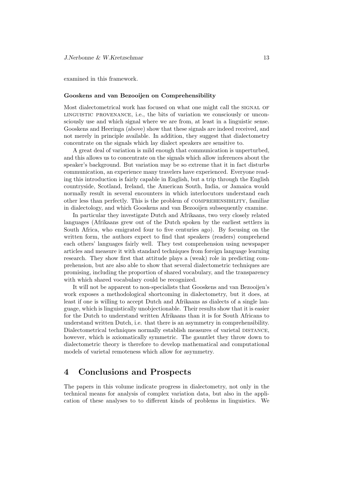examined in this framework.

#### Gooskens and van Bezooijen on Comprehensibility

Most dialectometrical work has focused on what one might call the SIGNAL OF linguistic provenance, i.e., the bits of variation we consciously or unconsciously use and which signal where we are from, at least in a linguistic sense. Gooskens and Heeringa (above) show that these signals are indeed received, and not merely in principle available. In addition, they suggest that dialectometry concentrate on the signals which lay dialect speakers are sensitive to.

A great deal of variation is mild enough that communication is unperturbed, and this allows us to concentrate on the signals which allow inferences about the speaker's background. But variation may be so extreme that it in fact disturbs communication, an experience many travelers have experienced. Everyone reading this introduction is fairly capable in English, but a trip through the English countryside, Scotland, Ireland, the American South, India, or Jamaica would normally result in several encounters in which interlocutors understand each other less than perfectly. This is the problem of comprehensibility, familiar in dialectology, and which Gooskens and van Bezooijen subsequently examine.

In particular they investigate Dutch and Afrikaans, two very closely related languages (Afrikaans grew out of the Dutch spoken by the earliest settlers in South Africa, who emigrated four to five centuries ago). By focusing on the written form, the authors expect to find that speakers (readers) comprehend each others' languages fairly well. They test comprehension using newspaper articles and measure it with standard techniques from foreign language learning research. They show first that attitude plays a (weak) role in predicting comprehension, but are also able to show that several dialectometric techniques are promising, including the proportion of shared vocabulary, and the transparency with which shared vocabulary could be recognized.

It will not be apparent to non-specialists that Gooskens and van Bezooijen's work exposes a methodological shortcoming in dialectometry, but it does, at least if one is willing to accept Dutch and Afrikaans as dialects of a single language, which is linguistically unobjectionable. Their results show that it is easier for the Dutch to understand written Afrikaans than it is for South Africans to understand written Dutch, i.e. that there is an asymmetry in comprehensibility. Dialectometrical techniques normally establish measures of varietal DISTANCE, however, which is axiomatically symmetric. The gauntlet they throw down to dialectometric theory is therefore to develop mathematical and computational models of varietal remoteness which allow for asymmetry.

# 4 Conclusions and Prospects

The papers in this volume indicate progress in dialectometry, not only in the technical means for analysis of complex variation data, but also in the application of these analyses to to different kinds of problems in linguistics. We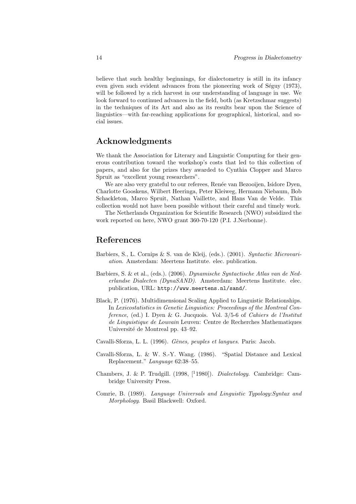believe that such healthy beginnings, for dialectometry is still in its infancy even given such evident advances from the pioneering work of Séguy (1973), will be followed by a rich harvest in our understanding of language in use. We look forward to continued advances in the field, both (as Kretzschmar suggests) in the techniques of its Art and also as its results bear upon the Science of linguistics—with far-reaching applications for geographical, historical, and social issues.

# Acknowledgments

We thank the Association for Literary and Linguistic Computing for their generous contribution toward the workshop's costs that led to this collection of papers, and also for the prizes they awarded to Cynthia Clopper and Marco Spruit as "excellent young researchers".

We are also very grateful to our referees, Renée van Bezooijen, Isidore Dyen, Charlotte Gooskens, Wilbert Heeringa, Peter Kleiweg, Hermann Niebaum, Bob Schackleton, Marco Spruit, Nathan Vaillette, and Hans Van de Velde. This collection would not have been possible without their careful and timely work.

The Netherlands Organization for Scientific Research (NWO) subsidized the work reported on here, NWO grant 360-70-120 (P.I. J.Nerbonne).

## References

- Barbiers, S., L. Cornips & S. van de Kleij, (eds.). (2001). Syntactic Microvariation. Amsterdam: Meertens Institute. elec. publication.
- Barbiers, S. & et al., (eds.). (2006). Dynamische Syntactische Atlas van de Nederlandse Dialecten (DynaSAND). Amsterdam: Meertens Institute. elec. publication, URL: http://www.meertens.nl/sand/.
- Black, P. (1976). Multidimensional Scaling Applied to Linguistic Relationships. In Lexicostatistics in Genetic Linguistics: Proceedings of the Montreal Conference, (ed.) I. Dyen & G. Jucquois. Vol. 3/5-6 of Cahiers de l'Institut de Linguistique de Louvain Leuven: Centre de Recherches Mathematiques Université de Montreal pp. 43–92.
- Cavalli-Sforza, L. L. (1996). Gènes, peuples et langues. Paris: Jacob.
- Cavalli-Sforza, L. & W. S.-Y. Wang. (1986). "Spatial Distance and Lexical Replacement." Language 62:38–55.
- Chambers, J. & P. Trudgill. (1998, [<sup>1</sup>1980]). Dialectology. Cambridge: Cambridge University Press.
- Comrie, B. (1989). Language Universals and Linguistic Typology:Syntax and Morphology. Basil Blackwell: Oxford.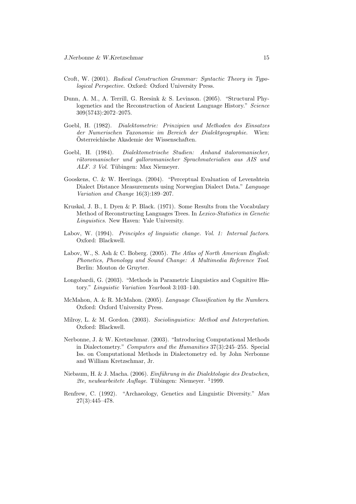- Croft, W. (2001). Radical Construction Grammar: Syntactic Theory in Typological Perspective. Oxford: Oxford University Press.
- Dunn, A. M., A. Terrill, G. Reesink & S. Levinson. (2005). "Structural Phylogenetics and the Reconstruction of Ancient Language History." Science 309(5743):2072–2075.
- Goebl, H. (1982). Dialektometrie: Prinzipien und Methoden des Einsatzes der Numerischen Taxonomie im Bereich der Dialektgeographie. Wien: Osterreichische Akademie der Wissenschaften. ¨
- Goebl, H. (1984). Dialektometrische Studien: Anhand italoromanischer, rätoromanischer und galloromanischer Sprachmaterialien aus AIS und ALF. 3 Vol. Tübingen: Max Niemeyer.
- Gooskens, C. & W. Heeringa. (2004). "Perceptual Evaluation of Levenshtein Dialect Distance Measurements using Norwegian Dialect Data." Language Variation and Change 16(3):189–207.
- Kruskal, J. B., I. Dyen & P. Black. (1971). Some Results from the Vocabulary Method of Reconstructing Languages Trees. In Lexico-Statistics in Genetic Linguistics. New Haven: Yale University.
- Labov, W. (1994). Principles of linguistic change. Vol. 1: Internal factors. Oxford: Blackwell.
- Labov, W., S. Ash & C. Boberg. (2005). The Atlas of North American English: Phonetics, Phonology and Sound Change: A Multimedia Reference Tool. Berlin: Mouton de Gruyter.
- Longobardi, G. (2003). "Methods in Parametric Linguistics and Cognitive History." Linguistic Variation Yearbook 3:103–140.
- McMahon, A. & R. McMahon. (2005). Language Classification by the Numbers. Oxford: Oxford University Press.
- Milroy, L. & M. Gordon. (2003). Sociolinguistics: Method and Interpretation. Oxford: Blackwell.
- Nerbonne, J. & W. Kretzschmar. (2003). "Introducing Computational Methods in Dialectometry." Computers and the Humanities 37(3):245–255. Special Iss. on Computational Methods in Dialectometry ed. by John Nerbonne and William Kretzschmar, Jr.
- Niebaum, H. & J. Macha. (2006). Einführung in die Dialektologie des Deutschen,  $2te$ , neubearbeitete Auflage. Tübingen: Niemeyer. <sup>1</sup>1999.
- Renfrew, C. (1992). "Archaeology, Genetics and Linguistic Diversity." Man 27(3):445–478.